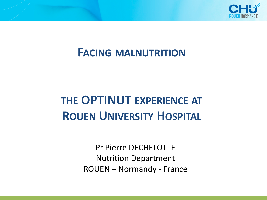

## **FACING MALNUTRITION**

# **THE OPTINUT EXPERIENCE AT ROUEN UNIVERSITY HOSPITAL**

Pr Pierre DECHELOTTE Nutrition Department ROUEN – Normandy - France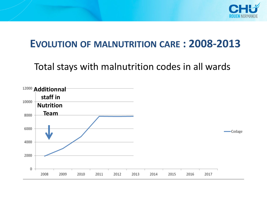

### **EVOLUTION OF MALNUTRITION CARE : 2008-2013**

Total stays with malnutrition codes in all wards

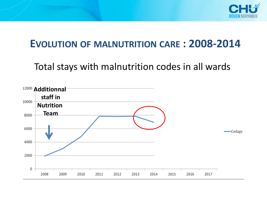

### **EVOLUTION OF MALNUTRITION CARE : 2008-2014**

Total stays with malnutrition codes in all wards

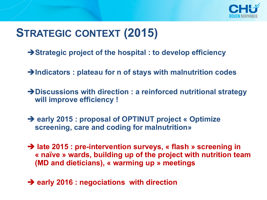

# **STRATEGIC CONTEXT (2015)**

- è**Strategic project of the hospital : to develop efficiency**
- è**Indicators : plateau for n of stays with malnutrition codes**
- è**Discussions with direction : a reinforced nutritional strategy will improve efficiency !**
- è **early 2015 : proposal of OPTINUT project « Optimize screening, care and coding for malnutrition»**
- è **late 2015 : pre-intervention surveys, « flash » screening in « naïve » wards, building up of the project with nutrition team (MD and dieticians), « warming up » meetings**
- $→$  **early 2016 : negociations with direction**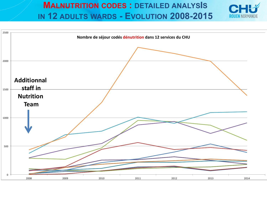### **MALNUTRITION CODES : DETAILED ANALYSIS IN 12 ADULTS WARDS - EVOLUTION 2008-2015**

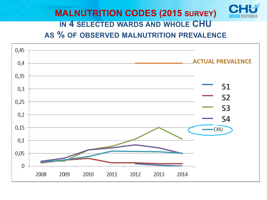### **MALNUTRITION CODES (2015 SURVEY) IN 4 SELECTED WARDS AND WHOLE CHU AS % OF OBSERVED MALNUTRITION PREVALENCE**

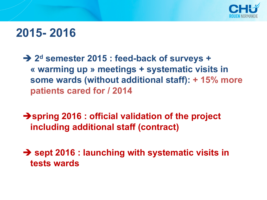

## **2015- 2016**

 $→$  **2<sup>d</sup> semester 2015 : feed-back of surveys + « warming up » meetings + systematic visits in some wards (without additional staff): + 15% more patients cared for / 2014**

 $→$ **spring 2016 : official validation of the project including additional staff (contract)**

 $→$  **sept 2016 : launching with systematic visits in tests wards**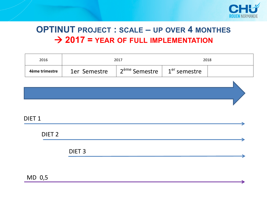

### **OPTINUT PROJECT : SCALE – UP OVER 4 MONTHES** à **2017 = YEAR OF FULL IMPLEMENTATION**

| 2016              | 2017              |                           | 2018                     |  |
|-------------------|-------------------|---------------------------|--------------------------|--|
| 4ème trimestre    | 1er Semestre      | 2 <sup>ème</sup> Semestre | 1 <sup>er</sup> semestre |  |
|                   |                   |                           |                          |  |
|                   |                   |                           |                          |  |
|                   |                   |                           |                          |  |
| DIET <sub>1</sub> |                   |                           |                          |  |
| DIET <sub>2</sub> |                   |                           |                          |  |
|                   | DIET <sub>3</sub> |                           |                          |  |

MD 0,5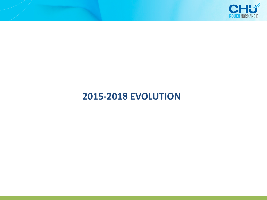

### **2015-2018 EVOLUTION**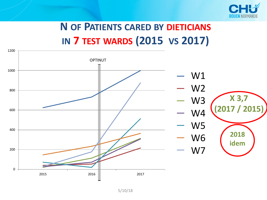

# **N OF PATIENTS CARED BY DIETICIANS IN 7 TEST WARDS (2015 VS 2017)**

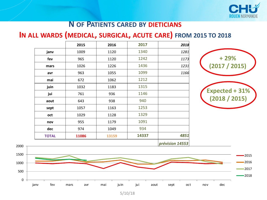

#### **N OF PATIENTS CARED BY DIETICIANS**

#### **IN ALL WARDS (MEDICAL, SURGICAL, ACUTE CARE) FROM 2015 TO 2018**

|              | 2015  | 2016  | 2017  | 2018 |
|--------------|-------|-------|-------|------|
| janv         | 1009  | 1120  | 1340  | 1281 |
| fev          | 965   | 1120  | 1242  | 1173 |
| mars         | 1026  | 1226  | 1436  | 1231 |
| avr          | 963   | 1055  | 1099  | 1166 |
| mai          | 672   | 1062  | 1212  |      |
| juin         | 1032  | 1183  | 1315  |      |
| jui          | 761   | 936   | 1146  |      |
| aout         | 643   | 938   | 940   |      |
| sept         | 1057  | 1163  | 1253  |      |
| oct          | 1029  | 1128  | 1329  |      |
| nov          | 955   | 1179  | 1091  |      |
| dec          | 974   | 1049  | 934   |      |
| <b>TOTAL</b> | 11086 | 13159 | 14337 | 4851 |
|              |       |       |       | .    |





5/10/18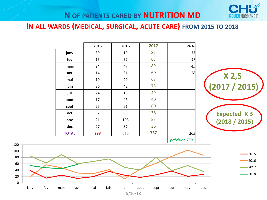

#### **N OF PATIENTS CARED BY NUTRITION MD**

**IN ALL WARDS (MEDICAL, SURGICAL, ACUTE CARE) FROM 2015 TO 2018**

|              | 2015 | 2016 | 2017 | 2018 |
|--------------|------|------|------|------|
| janv         | 39   | 19   | 85   | 55   |
| fev          | 15   | 57   | 63   | 47   |
| mars         | 24   | 47   | 89   | 45   |
| avr          | 14   | 31   | 60   | 58   |
| mai          | 19   | 29   | 67   |      |
| juin         | 36   | 42   | 75   |      |
| jui          | 24   | 13   | 49   |      |
| aout         | 17   | 43   | 40   |      |
| sept         | 25   | 61   | 80   |      |
| oct          | 37   | 83   | 38   |      |
| nov          | 21   | 103  | 55   |      |
| dec          | 27   | 87   | 36   |      |
| <b>TOTAL</b> | 298  | 615  | 737  | 205  |
|              |      |      |      |      |



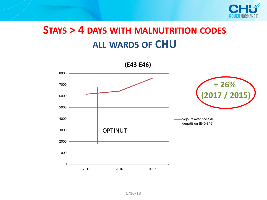

## **STAYS > 4 DAYS WITH MALNUTRITION CODES ALL WARDS OF CHU**



5/10/18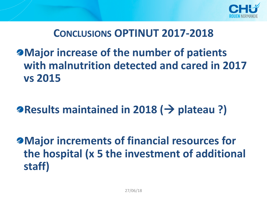

### **CONCLUSIONS OPTINUT 2017-2018**

**Major increase of the number of patients with malnutrition detected and cared in 2017 vs 2015**

**Results maintained in 2018 (**à **plateau ?)**

**Major increments of financial resources for the hospital (x 5 the investment of additional staff)**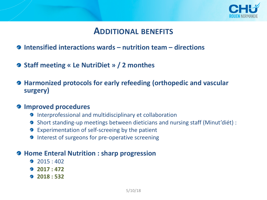

### **ADDITIONAL BENEFITS**

- **Intensified interactions wards – nutrition team – directions**
- **Staff meeting « Le NutriDiet » / 2 monthes**
- **Harmonized protocols for early refeeding (orthopedic and vascular surgery)**

#### **Improved procedures**

- **Interprofessional and multidisciplinary et collaboration**
- Short standing-up meetings between dieticians and nursing staff (Minut'diét) :  $\mathscr{D}$
- Experimentation of self-screeing by the patient
- **2** Interest of surgeons for pre-operative screening

#### **Home Enteral Nutrition : sharp progression**

- 2015:402
- **2017 : 472**
- **2018 : 532**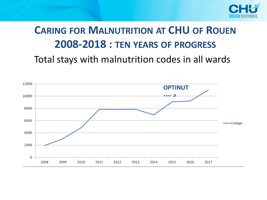

# **CARING FOR MALNUTRITION AT CHU OF ROUEN 2008-2018 : TEN YEARS OF PROGRESS** Total stays with malnutrition codes in all wards

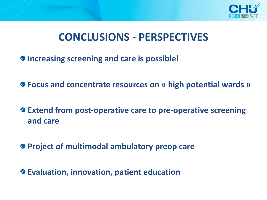

## **CONCLUSIONS - PERSPECTIVES**

- **Increasing screening and care is possible!**
- **Focus and concentrate resources on « high potential wards »**
- **Extend from post-operative care to pre-operative screening and care**
- **Project of multimodal ambulatory preop care**
- **Evaluation, innovation, patient education**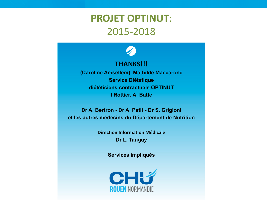### **PROJET OPTINUT**: 2015-2018



#### **THANKS!!!**

**(Caroline Amsellem), Mathilde Maccarone Service Diététique diététiciens contractuels OPTINUT I Rottier, A. Batte**

**Dr A. Bertron - Dr A. Petit - Dr S. Grigioni et les autres médecins du Département de Nutrition**

> **Direction Information Médicale Dr L. Tanguy**

> > **Services impliqués**